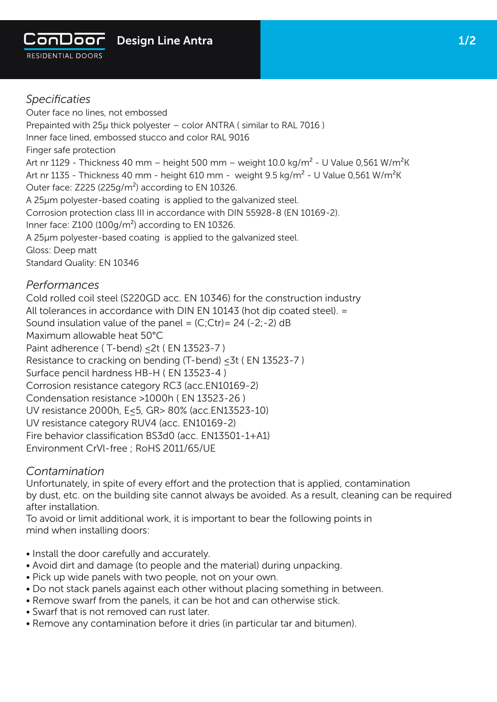

1/2

## *Specificaties*

Outer face no lines, not embossed Prepainted with 25μ thick polyester – color ANTRA ( similar to RAL 7016 ) Inner face lined, embossed stucco and color RAL 9016 Finger safe protection Art nr 1129 - Thickness 40 mm – height 500 mm – weight 10.0 kg/m<sup>2</sup> - U Value 0,561 W/m<sup>2</sup>K Art nr 1135 - Thickness 40 mm - height 610 mm - weight 9.5 kg/m<sup>2</sup> - U Value 0,561 W/m<sup>2</sup>K Outer face: Z225 (225g/m²) according to EN 10326. A 25µm polyester-based coating is applied to the galvanized steel. Corrosion protection class III in accordance with DIN 55928-8 (EN 10169-2). Inner face: Z100 (100g/m<sup>2</sup>) according to EN 10326. A 25µm polyester-based coating is applied to the galvanized steel. Gloss: Deep matt Standard Quality: EN 10346

## *Performances*

Cold rolled coil steel (S220GD acc. EN 10346) for the construction industry All tolerances in accordance with DIN EN 10143 (hot dip coated steel). = Sound insulation value of the panel =  $(C;)$ Ctr) = 24 (-2;-2) dB Maximum allowable heat 50°C Paint adherence (T-bend) < 2t ( EN 13523-7 ) Resistance to cracking on bending (T-bend) ≤3t ( EN 13523-7 ) Surface pencil hardness HB-H ( EN 13523-4 ) Corrosion resistance category RC3 (acc.EN10169-2) Condensation resistance >1000h ( EN 13523-26 ) UV resistance 2000h, E≤5, GR> 80% (acc.EN13523-10) UV resistance category RUV4 (acc. EN10169-2) Fire behavior classification BS3d0 (acc. EN13501-1+A1) Environment CrVl-free ; RoHS 2011/65/UE

## *Contamination*

Unfortunately, in spite of every effort and the protection that is applied, contamination by dust, etc. on the building site cannot always be avoided. As a result, cleaning can be required after installation.

To avoid or limit additional work, it is important to bear the following points in mind when installing doors:

- Install the door carefully and accurately.
- Avoid dirt and damage (to people and the material) during unpacking.
- Pick up wide panels with two people, not on your own.
- Do not stack panels against each other without placing something in between.
- Remove swarf from the panels, it can be hot and can otherwise stick.
- Swarf that is not removed can rust later.
- Remove any contamination before it dries (in particular tar and bitumen).